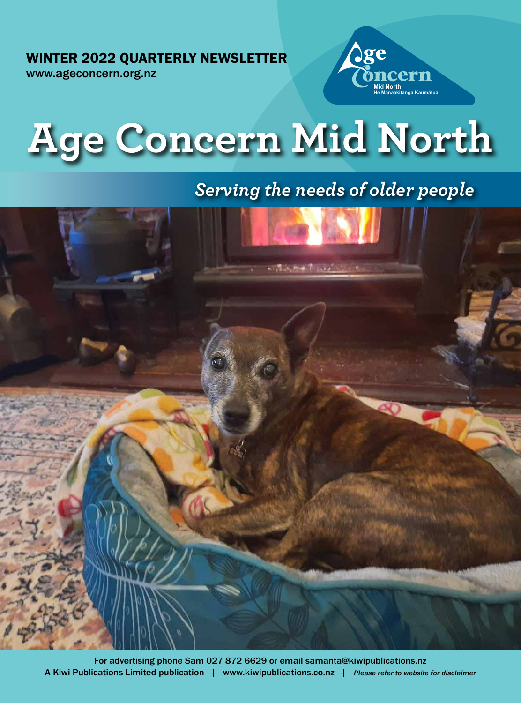WINTER 2022 QUARTERLY NEWSLETTER

www.ageconcern.org.nz





# *Serving the needs of older people*

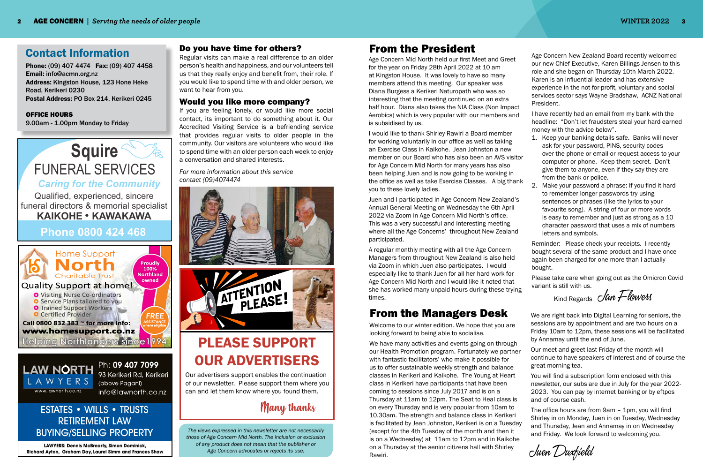### Contact Information

Phone: (09) 407 4474 Fax: (09) 407 4458 Email: info@acmn.org.nz Address: Kingston House, 123 Hone Heke Road, Kerikeri 0230 Postal Address: PO Box 214, Kerikeri 0245

#### OFFICE HOURS

9.00am - 1.00pm Monday to Friday

### Do you have time for others?

Regular visits can make a real difference to an older person's health and happiness, and our volunteers tell us that they really enjoy and benefit from, their role. If you would like to spend time with and older person, we want to hear from you.

### Would you like more company?

If you are feeling lonely, or would like more social contact, its important to do something about it. Our Accredited Visiting Service is a befriending service that provides regular visits to older people in the community. Our visitors are volunteers who would like to spend time with an older person each week to enjoy a conversation and shared interests.





Ph: 09 407 7099 93 Kerikeri Rd, Kerikeri (above Pagani) info@lawnorth.co.nz

*For more information about this service contact (09)4074474*



*The views expressed in this newsletter are not necessarily those of Age Concern Mid North. The inclusion or exclusion of any product does not mean that the publisher or Age Concern advocates or rejects its use.*

## From the President

## From the Managers Desk

Juen Duxfield

# PLEASE SUPPORT OUR ADVERTISERS

Many thanks

Our advertisers support enables the continuation of our newsletter. Please support them where you can and let them know where you found them.

**LAWYERS: Dennis McBrearty, Simon Dominick, Richard Ayton, Graham Day, Laurel Simm and Frances Shaw**

### ESTATES • WILLS • TRUSTS RETIREMENT LAW BUYING/SELLING PROPERTY

Age Concern Mid North held our first Meet and Greet for the year on Friday 28th April 2022 at 10 am at Kingston House. It was lovely to have so many members attend this meeting. Our speaker was Diana Burgess a Kerikeri Naturopath who was so interesting that the meeting continued on an extra half hour. Diana also takes the NIA Class (Non Impact Aerobics) which is very popular with our members and is subsidised by us.

I would like to thank Shirley Rawiri a Board member for working voluntarily in our office as well as taking an Exercise Class in Kaikohe. Jean Johnston a new member on our Board who has also been an AVS visitor for Age Concern Mid North for many years has also been helping Juen and is now going to be working in the office as well as take Exercise Classes. A big thank you to these lovely ladies.

Juen and I participated in Age Concern New Zealand's Annual General Meeting on Wednesday the 6th April 2022 via Zoom in Age Concern Mid North's office. This was a very successful and interesting meeting where all the Age Concerns' throughout New Zealand participated.

A regular monthly meeting with all the Age Concern Managers from throughout New Zealand is also held via Zoom in which Juen also participates. I would especially like to thank Juen for all her hard work for Age Concern Mid North and I would like it noted that she has worked many unpaid hours during these trying times.

Age Concern New Zealand Board recently welcomed our new Chief Executive, Karen Billings-Jensen to this role and she began on Thursday 10th March 2022. Karen is an influential leader and has extensive experience in the not-for-profit, voluntary and social services sector says Wayne Bradshaw, ACNZ National

President.

I have recently had an email from my bank with the headline: "Don't let fraudsters steal your hard earned money with the advice below".

1. Keep your banking details safe. Banks will never ask for your password, PINS, security codes over the phone or email or request access to your computer or phone. Keep them secret. Don't give them to anyone, even if they say they are from the bank or police.

2. Make your password a phrase: If you find it hard to remember longer passwords try using sentences or phrases (like the lyrics to your favourite song). A string of four or more words is easy to remember and just as strong as a 10 character password that uses a mix of numbers letters and symbols.

Reminder: Please check your receipts. I recently bought several of the same product and I have once again been charged for one more than I actually

bought.

Please take care when going out as the Omicron Covid variant is still with us.

Kind Regards  $\partial$ an Flowers

Welcome to our winter edition. We hope that you are looking forward to being able to socialise.

We have many activities and events going on through our Health Promotion program. Fortunately we partner with fantastic facilitators' who make it possible for us to offer sustainable weekly strength and balance classes in Kerikeri and Kaikohe. The Young at Heart class in Kerikeri have participants that have been coming to sessions since July 2017 and is on a Thursday at 11am to 12pm. The Seat to Heal class is on every Thursday and is very popular from 10am to 10.30am. The strength and balance class in Kerikeri is facilitated by Jean Johnston, Kerikeri is on a Tuesday (except for the 4th Tuesday of the month and then it is on a Wednesday) at 11am to 12pm and in Kaikohe on a Thursday at the senior citizens hall with Shirley Rawiri.

We are right back into Digital Learning for seniors, the sessions are by appointment and are two hours on a Friday 10am to 12pm, these sessions will be facilitated by Annamay until the end of June.

Our meet and greet last Friday of the month will continue to have speakers of interest and of course the great morning tea.

You will find a subscription form enclosed with this newsletter, our subs are due in July for the year 2022- 2023. You can pay by internet banking or by eftpos and of course cash.

The office hours are from 9am – 1pm, you will find Shirley in on Monday, Juen in on Tuesday, Wednesday and Thursday, Jean and Annamay in on Wednesday and Friday. We look forward to welcoming you.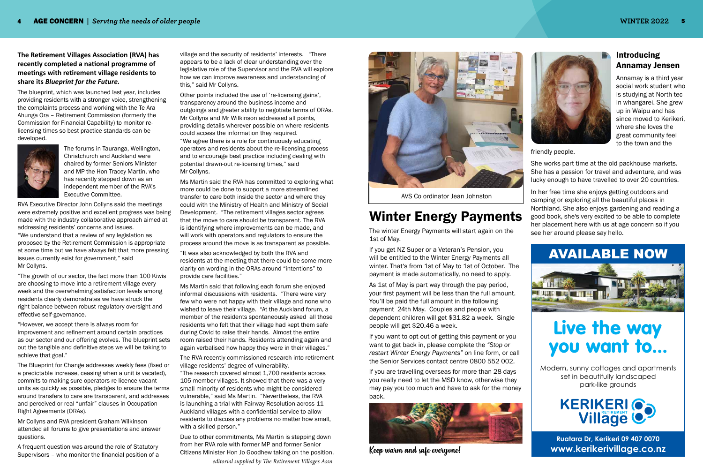**Ruatara Dr, Kerikeri 09 407 0070 www.kerikerivillage.co.nz**

Modern, sunny cottages and apartments set in beautifully landscaped park-like grounds



# Live the way you want to...

# AVAILABLE NOW



### Introducing Annamay Jensen

Annamay is a third year social work student who is studying at North tec in whangarei. She grew up in Waipu and has since moved to Kerikeri, where she loves the great community feel to the town and the

friendly people.

She works part time at the old packhouse markets. She has a passion for travel and adventure, and was lucky enough to have travelled to over 20 countries.

In her free time she enjoys getting outdoors and camping or exploring all the beautiful places in Northland. She also enjoys gardening and reading a good book, she's very excited to be able to complete her placement here with us at age concern so if you see her around please say hello.

**The Retirement Villages Association (RVA) has recently completed a national programme of meetings with retirement village residents to share its** *Blueprint for the Future.* 

The blueprint, which was launched last year, includes providing residents with a stronger voice, strengthening the complaints process and working with the Te Ara Ahunga Ora – Retirement Commission (formerly the Commission for Financial Capability) to monitor relicensing times so best practice standards can be developed.



The forums in Tauranga, Wellington, Christchurch and Auckland were chaired by former Seniors Minister and MP the Hon Tracey Martin, who has recently stepped down as an independent member of the RVA's Executive Committee.

RVA Executive Director John Collyns said the meetings were extremely positive and excellent progress was being made with the industry collaborative approach aimed at addressing residents' concerns and issues. "We understand that a review of any legislation as proposed by the Retirement Commission is appropriate at some time but we have always felt that more pressing issues currently exist for government," said Mr Collyns.

"The growth of our sector, the fact more than 100 Kiwis are choosing to move into a retirement village every week and the overwhelming satisfaction levels among residents clearly demonstrates we have struck the right balance between robust regulatory oversight and effective self-governance.

"However, we accept there is always room for improvement and refinement around certain practices as our sector and our offering evolves. The blueprint sets out the tangible and definitive steps we will be taking to achieve that goal."

The Blueprint for Change addresses weekly fees (fixed or a predictable increase, ceasing when a unit is vacated), commits to making sure operators re-licence vacant units as quickly as possible, pledges to ensure the terms around transfers to care are transparent, and addresses and perceived or real "unfair" clauses in Occupation Right Agreements (ORAs).

Mr Collyns and RVA president Graham Wilkinson attended all forums to give presentations and answer questions.

A frequent question was around the role of Statutory Supervisors – who monitor the financial position of a village and the security of residents' interests. "There appears to be a lack of clear understanding over the legislative role of the Supervisor and the RVA will explore how we can improve awareness and understanding of this," said Mr Collyns.

Other points included the use of 're-licensing gains', transparency around the business income and outgoings and greater ability to negotiate terms of ORAs. Mr Collyns and Mr Wilkinson addressed all points, providing details wherever possible on where residents could access the information they required. "We agree there is a role for continuously educating operators and residents about the re-licensing process and to encourage best practice including dealing with potential drawn-out re-licensing times," said Mr Collyns.

Ms Martin said the RVA has committed to exploring what more could be done to support a more streamlined transfer to care both inside the sector and where they could with the Ministry of Health and Ministry of Social Development. "The retirement villages sector agrees that the move to care should be transparent. The RVA is identifying where improvements can be made, and will work with operators and regulators to ensure the process around the move is as transparent as possible.

"It was also acknowledged by both the RVA and residents at the meeting that there could be some more clarity on wording in the ORAs around "intentions" to provide care facilities."

Ms Martin said that following each forum she enjoyed informal discussions with residents. "There were very few who were not happy with their village and none who wished to leave their village. "At the Auckland forum, a member of the residents spontaneously asked all those residents who felt that their village had kept them safe during Covid to raise their hands. Almost the entire room raised their hands. Residents attending again and again verbalised how happy they were in their villages."

The RVA recently commissioned research into retirement village residents' degree of vulnerability.

"The research covered almost 1,700 residents across 105 member villages. It showed that there was a very small minority of residents who might be considered vulnerable," said Ms Martin. "Nevertheless, the RVA is launching a trial with Fairway Resolution across 11 Auckland villages with a confidential service to allow residents to discuss any problems no matter how small, with a skilled person."

Due to other commitments, Ms Martin is stepping down from her RVA role with former MP and former Senior Citizens Minister Hon Jo Goodhew taking on the position. *editorial supplied by The Retirement Villages Assn.*





AVS Co ordinator Jean Johnston

# Winter Energy Payments

The winter Energy Payments will start again on the 1st of May.

If you get NZ Super or a Veteran's Pension, you will be entitled to the Winter Energy Payments all winter. That's from 1st of May to 1st of October. The payment is made automatically, no need to apply.

As 1st of May is part way through the pay period, your first payment will be less than the full amount. You'll be paid the full amount in the following payment 24th May. Couples and people with dependent children will get \$31.82 a week. Single people will get \$20.46 a week.

If you want to opt out of getting this payment or you want to get back in, please complete the *"Stop or restart Winter Energy Payments"* on line form, or call the Senior Services contact centre 0800 552 002.

If you are travelling overseas for more than 28 days you really need to let the MSD know, otherwise they may pay you too much and have to ask for the money back.



Keep warm and safe everyone!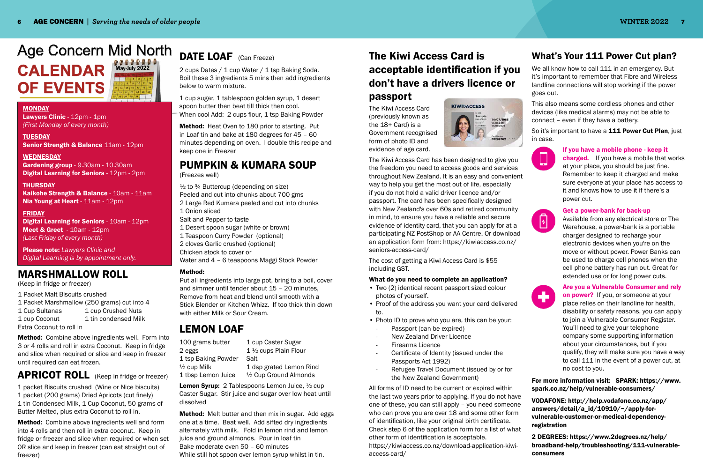## Age Concern Mid North **CALENDAR OF EVENTS May-July 2022**

#### **MONDAY**

Lawyers Clinic - 12pm - 1pm *(First Monday of every month)*

**TUESDAY** Senior Strength & Balance 11am - 12pm

WEDNESDAY Gardening group - 9.30am - 10.30am Digital Learning for Seniors - 12pm - 2pm

THURSDAY Kaikohe Strength & Balance - 10am - 11am Nia Young at Heart - 11am - 12pm

#### FRIDAY

Digital Learning for Seniors - 10am - 12pm Meet & Greet - 10am - 12pm *(Last Friday of every month)* 

Please note: *Lawyers Clinic and Digital Learning is by appointment only.*

1 cup sugar, 1 tablespoon golden syrup, 1 desert spoon butter then beat till thick then cool. When cool Add: 2 cups flour, 1 tsp Baking Powder

1 packet Biscuits crushed (Wine or Nice biscuits) 1 packet (200 grams) Dried Apricots (cut finely) 1 tin Condensed Milk, 1 Cup Coconut, 50 grams of Butter Melted, plus extra Coconut to roll in.

Method: Combine above ingredients well and form into 4 rolls and then roll in extra coconut. Keep in fridge or freezer and slice when required or when set OR slice and keep in freezer (can eat straight out of freezer)

## DATE LOAF (Can Freeze)

100 grams butter 1 cup Caster Sugar 2 eggs 1 ½ cups Plain Flour 1 tsp Baking Powder Salt

 $\frac{1}{2}$  cup Milk  $\frac{1}{2}$  dsp grated Lemon Rind 1 tbsp Lemon Juice ½ Cup Ground Almonds

Lemon Syrup: 2 Tablespoons Lemon Juice, 1/2 cup Caster Sugar. Stir juice and sugar over low heat until dissolved

2 cups Dates / 1 cup Water / 1 tsp Baking Soda. Boil these 3 ingredients 5 mins then add ingredients below to warm mixture.

**Method:** Melt butter and then mix in sugar. Add eggs one at a time. Beat well. Add sifted dry ingredients alternately with milk. Fold in lemon rind and lemon juice and ground almonds. Pour in loaf tin Bake moderate oven 50 – 60 minutes While still hot spoon over lemon syrup whilst in tin.

Method: Heat Oven to 180 prior to starting. Put in Loaf tin and bake at 180 degrees for 45 – 60 minutes depending on oven. I double this recipe and keep one in Freezer

 $\frac{1}{2}$  to  $\frac{3}{4}$  Buttercup (depending on size) Peeled and cut into chunks about 700 gms 2 Large Red Kumara peeled and cut into chunks 1 Onion sliced Salt and Pepper to taste 1 Desert spoon sugar (white or brown) 1 Teaspoon Curry Powder (optional) 2 cloves Garlic crushed (optional) Chicken stock to cover or Water and 4 – 6 teaspoons Maggi Stock Powder

### MARSHMALLOW ROLL

(Keep in fridge or freezer)

1 Packet Malt Biscuits crushed

1 Packet Marshmallow (250 grams) cut into 4 1 Cup Sultanas 1 cup Crushed Nuts 1 cup Coconut 1 tin condensed Milk Extra Coconut to roll in

Method: Combine above ingredients well. Form into 3 or 4 rolls and roll in extra Coconut. Keep in fridge and slice when required or slice and keep in freezer until required can eat frozen.

### APRICOT ROLL (Keep in fridge or freezer)

### LEMON LOAF

## PUMPKIN & KUMARA SOUP

(Freezes well)

We all know how to call 111 in an emergency. But it's important to remember that Fibre and Wireless landline connections will stop working if the power

> **charged.** If you have a mobile that works at your place, you should be just fine. Remember to keep it charged and make sure everyone at your place has access to it and knows how to use it if there's a power cut.

#### Method:

Put all ingredients into large pot, bring to a boil, cover and simmer until tender about 15 – 20 minutes, Remove from heat and blend until smooth with a Stick Blender or Kitchen Whizz. If too thick thin down with either Milk or Sour Cream.

on power? If you, or someone at your place relies on their landline for health, disability or safety reasons, you can apply to join a Vulnerable Consumer Register. You'll need to give your telephone company some supporting information about your circumstances, but if you qualify, they will make sure you have a way to call 111 in the event of a power cut, at no cost to you.

## The Kiwi Access Card is acceptable identification if you don't have a drivers licence or passport

The Kiwi Access Card (previously known as the 18+ Card) is a Government recognised form of photo ID and evidence of age card.



The Kiwi Access Card has been designed to give you the freedom you need to access goods and services throughout New Zealand. It is an easy and convenient way to help you get the most out of life, especially if you do not hold a valid driver licence and/or passport. The card has been specifically designed with New Zealand's over 60s and retired community in mind, to ensure you have a reliable and secure evidence of identity card, that you can apply for at a participating NZ PostShop or AA Centre. Or download an application form from: https://kiwiaccess.co.nz/ seniors-access-card/

The cost of getting a Kiwi Access Card is \$55 including GST.

### What do you need to complete an application?

- Two (2) identical recent passport sized colour photos of yourself.
- Proof of the address you want your card delivered to.
- Photo ID to prove who you are, this can be your:
- Passport (can be expired)
- New Zealand Driver Licence
- Firearms Licence
- Certificate of Identity (issued under the Passports Act 1992)
- Refugee Travel Document (issued by or for the New Zealand Government)

All forms of ID need to be current or expired within the last two years prior to applying. If you do not have one of these, you can still apply – you need someone who can prove you are over 18 and some other form of identification, like your original birth certificate. Check step 6 of the application form for a list of what other form of identification is acceptable.

https://kiwiaccess.co.nz/download-application-kiwiaccess-card/

### What's Your 111 Power Cut plan?

goes out.

This also means some cordless phones and other devices (like medical alarms) may not be able to connect – even if they have a battery.

So it's important to have a **111 Power Cut Plan**, just

in case.

 $\sqrt{2}$ 

٠

#### If you have a mobile phone - keep it

#### Get a power-bank for back-up

Available from any electrical store or The Warehouse, a power-bank is a portable charger designed to recharge your electronic devices when you're on the move or without power. Power Banks can be used to charge cell phones when the cell phone battery has run out. Great for extended use or for long power cuts.

#### Are you a Vulnerable Consumer and rely

#### For more information visit: SPARK: https://www. spark.co.nz/help/vulnerable-consumers/

VODAFONE: http://help.vodafone.co.nz/app/ answers/detail/a\_id/10910/~/apply-forvulnerable-customer-or-medical-dependency-

registration

2 DEGREES: https://www.2degrees.nz/help/ broadband-help/troubleshooting/111-vulnerable-

consumers